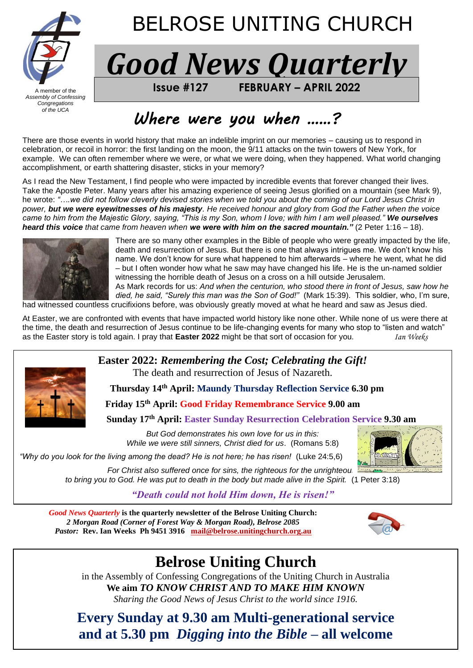

# BELROSE UNITING CHURCH

*Good News Quarterly*

A member of the **FROM BELL 2022 ISSUE #127 FEBRUARY – APRIL 2022** 

# *Where were you when ……?*

There are those events in world history that make an indelible imprint on our memories – causing us to respond in celebration, or recoil in horror: the first landing on the moon, the 9/11 attacks on the twin towers of New York, for example. We can often remember where we were, or what we were doing, when they happened. What world changing accomplishment, or earth shattering disaster, sticks in your memory?

As I read the New Testament, I find people who were impacted by incredible events that forever changed their lives. Take the Apostle Peter. Many years after his amazing experience of seeing Jesus glorified on a mountain (see Mark 9), he wrote: *"….we did not follow cleverly devised stories when we told you about the coming of our Lord Jesus Christ in power, but we were eyewitnesses of his majesty. He received honour and glory from God the Father when the voice came to him from the Majestic Glory, saying, "This is my Son, whom I love; with him I am well pleased." We ourselves heard this voice that came from heaven when we were with him on the sacred mountain."* (2 Peter 1:16 – 18).



There are so many other examples in the Bible of people who were greatly impacted by the life, death and resurrection of Jesus. But there is one that always intrigues me. We don't know his name. We don't know for sure what happened to him afterwards – where he went, what he did – but I often wonder how what he saw may have changed his life. He is the un-named soldier witnessing the horrible death of Jesus on a cross on a hill outside Jerusalem.

As Mark records for us: *And when the centurion, who stood there in front of Jesus, saw how he died, he said, "Surely this man was the Son of God!"* (Mark 15:39). This soldier, who, I'm sure, had witnessed countless crucifixions before, was obviously greatly moved at what he heard and saw as Jesus died.

At Easter, we are confronted with events that have impacted world history like none other. While none of us were there at the time, the death and resurrection of Jesus continue to be life-changing events for many who stop to "listen and watch" as the Easter story is told again. I pray that **Easter 2022** might be that sort of occasion for you. *Ian Weeks*



**Easter 2022:** *Remembering the Cost; Celebrating the Gift!* The death and resurrection of Jesus of Nazareth.

**Thursday 14th April: Maundy Thursday Reflection Service 6.30 pm**

**Friday 15th April: Good Friday Remembrance Service 9.00 am**

**Sunday 17th April: Easter Sunday Resurrection Celebration Service 9.30 am**

*But God demonstrates his own love for us in this: While we were still sinners, Christ died for us*. (Romans 5:8)



*"Why do you look for the living among the dead? He is not here; he has risen!* (Luke 24:5,6)

*For Christ also suffered once for sins, the righteous for the unrighteou to bring you to God. He was put to death in the body but made alive in the Spirit.* (1 Peter 3:18)

*"Death could not hold Him down, He is risen!"*

*Good News Quarterly* **is the quarterly newsletter of the Belrose Uniting Church:**  *2 Morgan Road (Corner of Forest Way & Morgan Road), Belrose 2085 Pastor:* **Rev. Ian Weeks Ph 9451 3916****[mail@belrose.unitingchurch.org.au](mailto:mail@belrose.unitingchurch.org.au)**



# **Belrose Uniting Church**

in the Assembly of Confessing Congregations of the Uniting Church in Australia **We aim** *TO KNOW CHRIST AND TO MAKE HIM KNOWN Sharing the Good News of Jesus Christ to the world since 1916.*

**Every Sunday at 9.30 am Multi-generational service and at 5.30 pm** *Digging into the Bible* **– all welcome**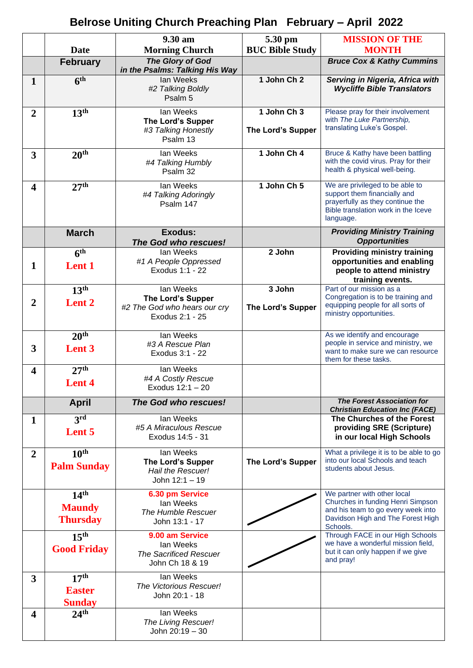#### **Belrose Uniting Church Preaching Plan February – April 2022**

|                         |                     | 9.30 am                                            | 5.30 pm                  | <b>MISSION OF THE</b>                                                       |
|-------------------------|---------------------|----------------------------------------------------|--------------------------|-----------------------------------------------------------------------------|
|                         | <b>Date</b>         | <b>Morning Church</b>                              | <b>BUC Bible Study</b>   | <b>MONTH</b>                                                                |
|                         | <b>February</b>     | The Glory of God<br>in the Psalms: Talking His Way |                          | <b>Bruce Cox &amp; Kathy Cummins</b>                                        |
| $\mathbf{1}$            | 6 <sup>th</sup>     | lan Weeks                                          | 1 John Ch 2              | Serving in Nigeria, Africa with                                             |
|                         |                     | #2 Talking Boldly<br>Psalm 5                       |                          | <b>Wycliffe Bible Translators</b>                                           |
| $\overline{2}$          | 13 <sup>th</sup>    | lan Weeks                                          | 1 John Ch 3              | Please pray for their involvement                                           |
|                         |                     | <b>The Lord's Supper</b><br>#3 Talking Honestly    | The Lord's Supper        | with The Luke Partnership,<br>translating Luke's Gospel.                    |
|                         |                     | Psalm 13                                           |                          |                                                                             |
| $\overline{3}$          | 20 <sup>th</sup>    | lan Weeks                                          | 1 John Ch 4              | Bruce & Kathy have been battling                                            |
|                         |                     | #4 Talking Humbly<br>Psalm 32                      |                          | with the covid virus. Pray for their<br>health & physical well-being.       |
|                         | 27 <sup>th</sup>    | lan Weeks                                          | 1 John Ch 5              | We are privileged to be able to                                             |
| $\overline{\mathbf{4}}$ |                     | #4 Talking Adoringly                               |                          | support them financially and                                                |
|                         |                     | Psalm 147                                          |                          | prayerfully as they continue the                                            |
|                         |                     |                                                    |                          | Bible translation work in the Iceve<br>language.                            |
|                         | <b>March</b>        | Exodus:                                            |                          | <b>Providing Ministry Training</b>                                          |
|                         |                     | The God who rescues!                               |                          | <b>Opportunities</b>                                                        |
|                         | $\overline{6^{th}}$ | lan Weeks<br>#1 A People Oppressed                 | 2 John                   | <b>Providing ministry training</b><br>opportunities and enabling            |
| 1                       | Lent 1              | Exodus 1:1 - 22                                    |                          | people to attend ministry                                                   |
|                         |                     |                                                    |                          | training events.                                                            |
|                         | 13 <sup>th</sup>    | lan Weeks                                          | 3 John                   | Part of our mission as a<br>Congregation is to be training and              |
| $\overline{2}$          | Lent <sub>2</sub>   | The Lord's Supper<br>#2 The God who hears our cry  | <b>The Lord's Supper</b> | equipping people for all sorts of                                           |
|                         |                     | Exodus 2:1 - 25                                    |                          | ministry opportunities.                                                     |
|                         | 20 <sup>th</sup>    | lan Weeks                                          |                          | As we identify and encourage                                                |
| 3                       | Lent 3              | #3 A Rescue Plan                                   |                          | people in service and ministry, we<br>want to make sure we can resource     |
|                         |                     | Exodus 3:1 - 22                                    |                          | them for these tasks.                                                       |
| 4                       | 27 <sup>th</sup>    | lan Weeks                                          |                          |                                                                             |
|                         | Lent 4              | #4 A Costly Rescue<br>Exodus 12:1 - 20             |                          |                                                                             |
|                         | <b>April</b>        | The God who rescues!                               |                          | <b>The Forest Association for</b>                                           |
|                         |                     |                                                    |                          | <b>Christian Education Inc (FACE)</b>                                       |
| 1                       | 3 <sup>rd</sup>     | lan Weeks<br>#5 A Miraculous Rescue                |                          | The Churches of the Forest<br>providing SRE (Scripture)                     |
|                         | Lent 5              | Exodus 14:5 - 31                                   |                          | in our local High Schools                                                   |
| $\overline{2}$          | 10 <sup>th</sup>    | lan Weeks                                          |                          | What a privilege it is to be able to go<br>into our local Schools and teach |
|                         | <b>Palm Sunday</b>  | <b>The Lord's Supper</b><br>Hail the Rescuer!      | <b>The Lord's Supper</b> | students about Jesus.                                                       |
|                         |                     | John 12:1 - 19                                     |                          |                                                                             |
|                         | 14 <sup>th</sup>    | 6.30 pm Service                                    |                          | We partner with other local                                                 |
|                         | <b>Maundy</b>       | lan Weeks<br>The Humble Rescuer                    |                          | Churches in funding Henri Simpson<br>and his team to go every week into     |
|                         | <b>Thursday</b>     | John 13:1 - 17                                     |                          | Davidson High and The Forest High                                           |
|                         | 15 <sup>th</sup>    | 9.00 am Service                                    |                          | Schools.<br>Through FACE in our High Schools                                |
|                         |                     | lan Weeks                                          |                          | we have a wonderful mission field,                                          |
|                         | <b>Good Friday</b>  | <b>The Sacrificed Rescuer</b>                      |                          | but it can only happen if we give                                           |
|                         |                     | John Ch 18 & 19                                    |                          | and pray!                                                                   |
| $\overline{3}$          | 17 <sup>th</sup>    | lan Weeks                                          |                          |                                                                             |
|                         | <b>Easter</b>       | The Victorious Rescuer!<br>John 20:1 - 18          |                          |                                                                             |
|                         | <b>Sunday</b>       |                                                    |                          |                                                                             |
| 4                       | 24 <sup>th</sup>    | lan Weeks                                          |                          |                                                                             |
|                         |                     | The Living Rescuer!<br>John 20:19 - 30             |                          |                                                                             |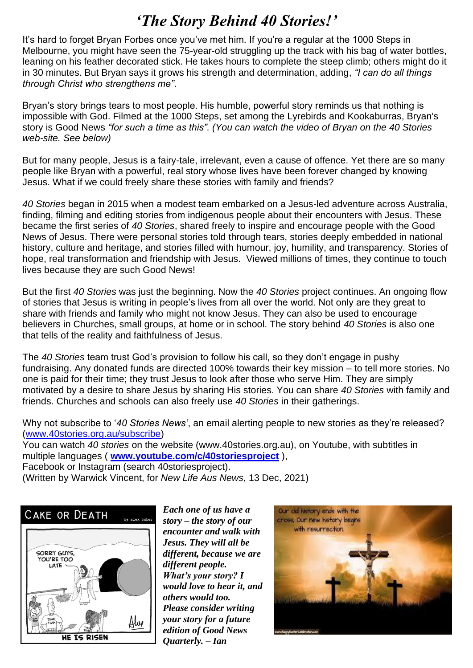### *'The Story Behind 40 Stories!'*

It's hard to forget Bryan Forbes once you've met him. If you're a regular at the 1000 Steps in Melbourne, you might have seen the 75-year-old struggling up the track with his bag of water bottles, leaning on his feather decorated stick. He takes hours to complete the steep climb; others might do it in 30 minutes. But Bryan says it grows his strength and determination, adding, *"I can do all things through Christ who strengthens me"*.

Bryan's story brings tears to most people. His humble, powerful story reminds us that nothing is impossible with God. Filmed at the 1000 Steps, set among the Lyrebirds and Kookaburras, Bryan's story is Good News *"for such a time as this". (You can watch the video of Bryan on the 40 Stories web-site. See below)*

But for many people, Jesus is a fairy-tale, irrelevant, even a cause of offence. Yet there are so many people like Bryan with a powerful, real story whose lives have been forever changed by knowing Jesus. What if we could freely share these stories with family and friends?

*40 Stories* began in 2015 when a modest team embarked on a Jesus-led adventure across Australia, finding, filming and editing stories from indigenous people about their encounters with Jesus. These became the first series of *40 Stories*, shared freely to inspire and encourage people with the Good News of Jesus. There were personal stories told through tears, stories deeply embedded in national history, culture and heritage, and stories filled with humour, joy, humility, and transparency. Stories of hope, real transformation and friendship with Jesus. Viewed millions of times, they continue to touch lives because they are such Good News!

But the first *40 Stories* was just the beginning. Now the *40 Stories* project continues. An ongoing flow of stories that Jesus is writing in people's lives from all over the world. Not only are they great to share with friends and family who might not know Jesus. They can also be used to encourage believers in Churches, small groups, at home or in school. The story behind *40 Stories* is also one that tells of the reality and faithfulness of Jesus.

The *40 Stories* team trust God's provision to follow his call, so they don't engage in pushy fundraising. Any donated funds are directed 100% towards their key mission – to tell more stories. No one is paid for their time; they trust Jesus to look after those who serve Him. They are simply motivated by a desire to share Jesus by sharing His stories. You can share *40 Stories* with family and friends. Churches and schools can also freely use *40 Stories* in their gatherings.

Why not subscribe to '*40 Stories News'*, an email alerting people to new stories as they're released? [\(www.40stories.org.au/subscribe\)](http://www.40stories.org.au/subscribe)

You can watch *40 stories* on the website (www.40stories.org.au), on Youtube, with subtitles in multiple languages ( **[www.youtube.com/c/40storiesproject](http://www.youtube.com/c/40storiesproject)** ),

Facebook or Instagram (search 40storiesproject).

(Written by Warwick Vincent, for *New Life Aus News*, 13 Dec, 2021)



*Each one of us have a story – the story of our encounter and walk with Jesus. They will all be different, because we are different people. What's your story? I would love to hear it, and others would too. Please consider writing your story for a future edition of Good News Quarterly. – Ian*